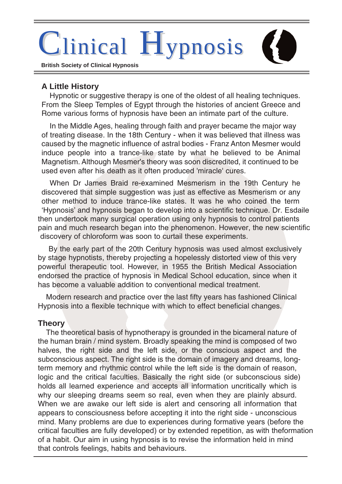# inical Hypnosis

**British Society of Clinical Hypnosis**

## **A Little History**

Hypnotic or suggestive therapy is one of the oldest of all healing techniques. From the Sleep Temples of Egypt through the histories of ancient Greece and Rome various forms of hypnosis have been an intimate part of the culture.

In the Middle Ages, healing through faith and prayer became the major way of treating disease. In the 18th Century - when it was believed that illness was caused by the magnetic influence of astral bodies - Franz Anton Mesmer would induce people into a trance-like state by what he believed to be Animal Magnetism. Although Mesmer's theory was soon discredited, it continued to be used even after his death as it often produced 'miracle' cures.

When Dr James Braid re-examined Mesmerism in the 19th Century he discovered that simple suggestion was just as effective as Mesmerism or any other method to induce trance-like states. It was he who coined the term 'Hypnosis' and hypnosis began to develop into a scientific technique. Dr. Esdaile then undertook many surgical operation using only hypnosis to control patients pain and much research began into the phenomenon. However, the new scientific discovery of chloroform was soon to curtail these experiments.

By the early part of the 20th Century hypnosis was used almost exclusively by stage hypnotists, thereby projecting a hopelessly distorted view of this very powerful therapeutic tool. However, in 1955 the British Medical Association endorsed the practice of hypnosis in Medical School education, since when it has become a valuable addition to conventional medical treatment.

Modern research and practice over the last fifty years has fashioned Clinical Hypnosis into a flexible technique with which to effect beneficial changes.

#### **Theory**

The theoretical basis of hypnotherapy is grounded in the bicameral nature of the human brain / mind system. Broadly speaking the mind is composed of two halves, the right side and the left side, or the conscious aspect and the subconscious aspect. The right side is the domain of imagery and dreams, longterm memory and rhythmic control while the left side is the domain of reason, logic and the critical faculties. Basically the right side (or subconscious side) holds all learned experience and accepts all information uncritically which is why our sleeping dreams seem so real, even when they are plainly absurd. When we are awake our left side is alert and censoring all information that appears to consciousness before accepting it into the right side - unconscious mind. Many problems are due to experiences during formative years (before the critical faculties are fully developed) or by extended repetition, as with theformation of a habit. Our aim in using hypnosis is to revise the information held in mind that controls feelings, habits and behaviours.